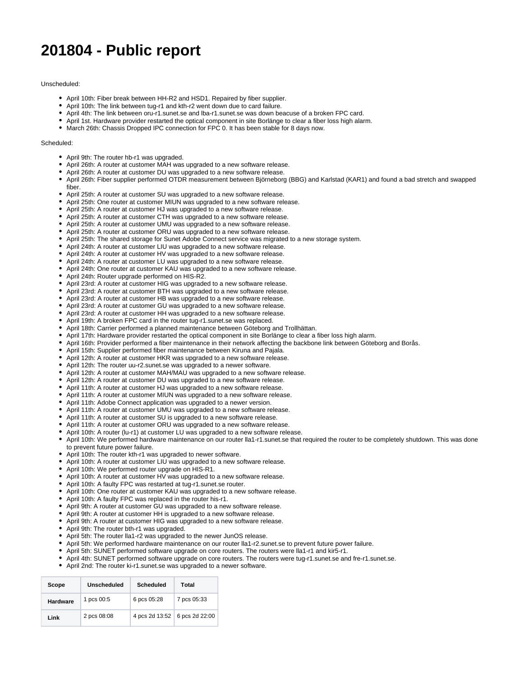## **201804 - Public report**

## Unscheduled:

- April 10th: Fiber break between HH-R2 and HSD1. Repaired by fiber supplier.
- April 10th: The link between tug-r1 and kth-r2 went down due to card failure.
- April 4th: The link between oru-r1.sunet.se and lba-r1.sunet.se was down beacuse of a broken FPC card.
- April 1st. Hardware provider restarted the optical component in site Borlänge to clear a fiber loss high alarm.
- $\bullet$  March 26th: Chassis Dropped IPC connection for FPC 0. It has been stable for 8 days now.

## Scheduled:

- April 9th: The router hb-r1 was upgraded.
- April 26th: A router at customer MAH was upgraded to a new software release.
- April 26th: A router at customer DU was upgraded to a new software release.
- April 26th: Fiber supplier performed OTDR measurement between Björneborg (BBG) and Karlstad (KAR1) and found a bad stretch and swapped fiber.
- April 25th: A router at customer SU was upgraded to a new software release.
- April 25th: One router at customer MIUN was upgraded to a new software release.
- April 25th: A router at customer HJ was upgraded to a new software release.
- April 25th: A router at customer CTH was upgraded to a new software release.
- April 25th: A router at customer UMU was upgraded to a new software release.
- April 25th: A router at customer ORU was upgraded to a new software release.
- April 25th: The shared storage for Sunet Adobe Connect service was migrated to a new storage system.
- April 24th: A router at customer LIU was upgraded to a new software release.
- April 24th: A router at customer HV was upgraded to a new software release.
- April 24th: A router at customer LU was upgraded to a new software release.
- April 24th: One router at customer KAU was upgraded to a new software release.
- April 24th: Router upgrade performed on HIS-R2.
- April 23rd: A router at customer HIG was upgraded to a new software release.
- April 23rd: A router at customer BTH was upgraded to a new software release.
- April 23rd: A router at customer HB was upgraded to a new software release.
- April 23rd: A router at customer GU was upgraded to a new software release.
- April 23rd: A router at customer HH was upgraded to a new software release.
- April 19th: A broken FPC card in the router tug-r1.sunet.se was replaced.
- April 18th: Carrier performed a planned maintenance between Göteborg and Trollhättan.
- April 17th: Hardware provider restarted the optical component in site Borlänge to clear a fiber loss high alarm.
- April 16th: Provider performed a fiber maintenance in their network affecting the backbone link between Göteborg and Borås.
- April 15th: Supplier performed fiber maintenance between Kiruna and Pajala.
- April 12th: A router at customer HKR was upgraded to a new software release.
- April 12th: The router uu-r2.sunet.se was upgraded to a newer software.
- April 12th: A router at customer MAH/MAU was upgraded to a new software release.
- April 12th: A router at customer DU was upgraded to a new software release.
- April 11th: A router at customer HJ was upgraded to a new software release.
- April 11th: A router at customer MIUN was upgraded to a new software release.
- April 11th: Adobe Connect application was upgraded to a newer version.
- April 11th: A router at customer UMU was upgraded to a new software release.
- April 11th: A router at customer SU is upgraded to a new software release.
- April 11th: A router at customer ORU was upgraded to a new software release.
- April 10th: A router (lu-r1) at customer LU was upgraded to a new software release.
- April 10th: We performed hardware maintenance on our router lla1-r1.sunet.se that required the router to be completely shutdown. This was done to prevent future power failure.
- April 10th: The router kth-r1 was upgraded to newer software.
- April 10th: A router at customer LIU was upgraded to a new software release.
- April 10th: We performed router upgrade on HIS-R1.
- April 10th: A router at customer HV was upgraded to a new software release.
- April 10th: A faulty FPC was restarted at tug-r1.sunet.se router.
- April 10th: One router at customer KAU was upgraded to a new software release.
- April 10th: A faulty FPC was replaced in the router his-r1.
- April 9th: A router at customer GU was upgraded to a new software release.
- April 9th: A router at customer HH is upgraded to a new software release.
- April 9th: A router at customer HIG was upgraded to a new software release.
- April 9th: The router bth-r1 was upgraded.
- April 5th: The router lla1-r2 was upgraded to the newer JunOS release.
- April 5th: We performed hardware maintenance on our router lla1-r2.sunet.se to prevent future power failure.
- April 5th: SUNET performed software upgrade on core routers. The routers were lla1-r1 and kir5-r1.
- April 4th: SUNET performed software upgrade on core routers. The routers were tug-r1.sunet.se and fre-r1.sunet.se.
- April 2nd: The router ki-r1.sunet.se was upgraded to a newer software.

| Scope           | Unscheduled | <b>Scheduled</b> | Total          |
|-----------------|-------------|------------------|----------------|
| <b>Hardware</b> | 1 pcs 00:5  | 6 pcs 05:28      | 7 pcs 05:33    |
| Link            | 2 pcs 08:08 | 4 pcs 2d 13:52   | 6 pcs 2d 22:00 |